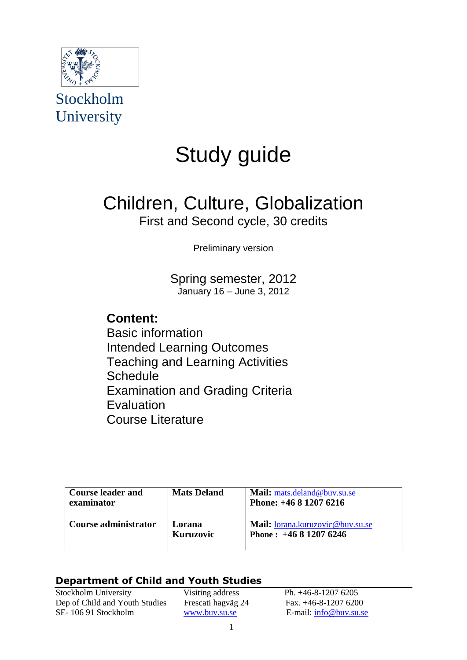

Stockholm University

# Study guide

## Children, Culture, Globalization First and Second cycle, 30 credits

Preliminary version

Spring semester, 2012 January 16 – June 3, 2012

## **Content:**

Basic information Intended Learning Outcomes Teaching and Learning Activities **Schedule** Examination and Grading Criteria **Evaluation** Course Literature

| <b>Course leader and</b><br>examinator | <b>Mats Deland</b>  | Mail: mats.deland@buv.su.se<br>Phone: $+46812076216$      |
|----------------------------------------|---------------------|-----------------------------------------------------------|
| Course administrator                   | Lorana<br>Kuruzovic | Mail: lorana.kuruzovic@buv.su.se<br>Phone: $+46812076246$ |

## **Department of Child and Youth Studies**

Stockholm University Visiting address Ph. +46-8-1207 6205 Dep of Child and Youth Studies Frescati hagväg 24 Fax. +46-8-1207 6200 SE- 106 91 Stockholm [www.buv.su.se](http://www.buv.su.se/) E-mail: [info@buv.su.se](mailto:ingrid.engdahl@buv.su.se)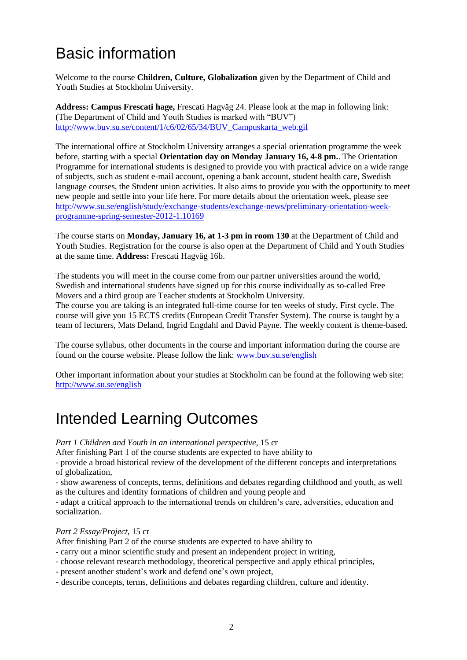## Basic information

Welcome to the course **Children, Culture, Globalization** given by the Department of Child and Youth Studies at Stockholm University.

**Address: Campus Frescati hage,** Frescati Hagväg 24. Please look at the map in following link: (The Department of Child and Youth Studies is marked with "BUV") [http://www.buv.su.se/content/1/c6/02/65/34/BUV\\_Campuskarta\\_web.gif](http://www.buv.su.se/content/1/c6/02/65/34/BUV_Campuskarta_web.gif)

The international office at Stockholm University arranges a special orientation programme the week before, starting with a special **Orientation day on Monday January 16, 4-8 pm.**. The Orientation Programme for international students is designed to provide you with practical advice on a wide range of subjects, such as student e-mail account, opening a bank account, student health care, Swedish language courses, the Student union activities. It also aims to provide you with the opportunity to meet new people and settle into your life here. For more details about the orientation week, please see [http://www.su.se/english/study/exchange-students/exchange-news/preliminary-orientation-week](http://www.su.se/english/study/exchange-students/exchange-news/preliminary-orientation-week-programme-spring-semester-2012-1.10169)[programme-spring-semester-2012-1.10169](http://www.su.se/english/study/exchange-students/exchange-news/preliminary-orientation-week-programme-spring-semester-2012-1.10169)

The course starts on **Monday, January 16, at 1-3 pm in room 130** at the Department of Child and Youth Studies. Registration for the course is also open at the Department of Child and Youth Studies at the same time. **Address:** Frescati Hagväg 16b.

The students you will meet in the course come from our partner universities around the world, Swedish and international students have signed up for this course individually as so-called Free Movers and a third group are Teacher students at Stockholm University.

The course you are taking is an integrated full-time course for ten weeks of study, First cycle. The course will give you 15 ECTS credits (European Credit Transfer System). The course is taught by a team of lecturers, Mats Deland, Ingrid Engdahl and David Payne. The weekly content is theme-based.

The course syllabus, other documents in the course and important information during the course are found on the course website. Please follow the link: www.buv.su.se/english

Other important information about your studies at Stockholm can be found at the following web site: <http://www.su.se/english>

## Intended Learning Outcomes

*Part 1 Children and Youth in an international perspective*, 15 cr

After finishing Part 1 of the course students are expected to have ability to

- provide a broad historical review of the development of the different concepts and interpretations of globalization,

- show awareness of concepts, terms, definitions and debates regarding childhood and youth, as well as the cultures and identity formations of children and young people and

- adapt a critical approach to the international trends on children"s care, adversities, education and socialization.

*Part 2 Essay/Project*, 15 cr

After finishing Part 2 of the course students are expected to have ability to

- carry out a minor scientific study and present an independent project in writing,

- choose relevant research methodology, theoretical perspective and apply ethical principles,
- present another student"s work and defend one"s own project,
- describe concepts, terms, definitions and debates regarding children, culture and identity.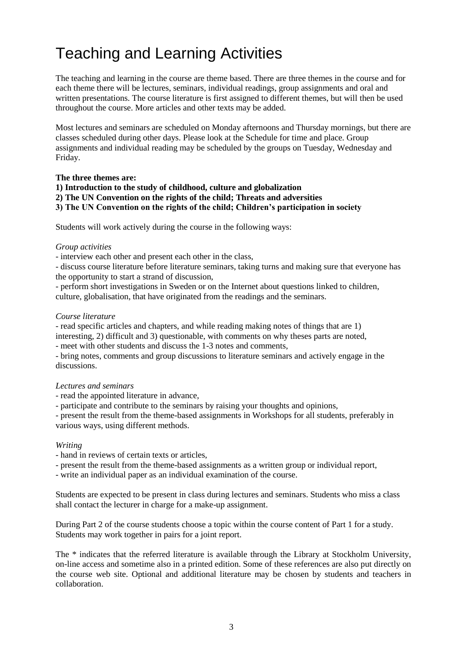## Teaching and Learning Activities

The teaching and learning in the course are theme based. There are three themes in the course and for each theme there will be lectures, seminars, individual readings, group assignments and oral and written presentations. The course literature is first assigned to different themes, but will then be used throughout the course. More articles and other texts may be added.

Most lectures and seminars are scheduled on Monday afternoons and Thursday mornings, but there are classes scheduled during other days. Please look at the Schedule for time and place. Group assignments and individual reading may be scheduled by the groups on Tuesday, Wednesday and Friday.

### **The three themes are:**

**1) Introduction to the study of childhood, culture and globalization 2) The UN Convention on the rights of the child; Threats and adversities 3) The UN Convention on the rights of the child; Children's participation in society**

Students will work actively during the course in the following ways:

### *Group activities*

- interview each other and present each other in the class,

- discuss course literature before literature seminars, taking turns and making sure that everyone has the opportunity to start a strand of discussion,

- perform short investigations in Sweden or on the Internet about questions linked to children, culture, globalisation, that have originated from the readings and the seminars.

### *Course literature*

- read specific articles and chapters, and while reading making notes of things that are 1) interesting, 2) difficult and 3) questionable, with comments on why theses parts are noted,

- meet with other students and discuss the 1-3 notes and comments,

- bring notes, comments and group discussions to literature seminars and actively engage in the discussions.

## *Lectures and seminars*

- read the appointed literature in advance,

- participate and contribute to the seminars by raising your thoughts and opinions,

- present the result from the theme-based assignments in Workshops for all students, preferably in various ways, using different methods.

## *Writing*

- hand in reviews of certain texts or articles,

- present the result from the theme-based assignments as a written group or individual report,
- write an individual paper as an individual examination of the course.

Students are expected to be present in class during lectures and seminars. Students who miss a class shall contact the lecturer in charge for a make-up assignment.

During Part 2 of the course students choose a topic within the course content of Part 1 for a study. Students may work together in pairs for a joint report.

The \* indicates that the referred literature is available through the Library at Stockholm University, on-line access and sometime also in a printed edition. Some of these references are also put directly on the course web site. Optional and additional literature may be chosen by students and teachers in collaboration.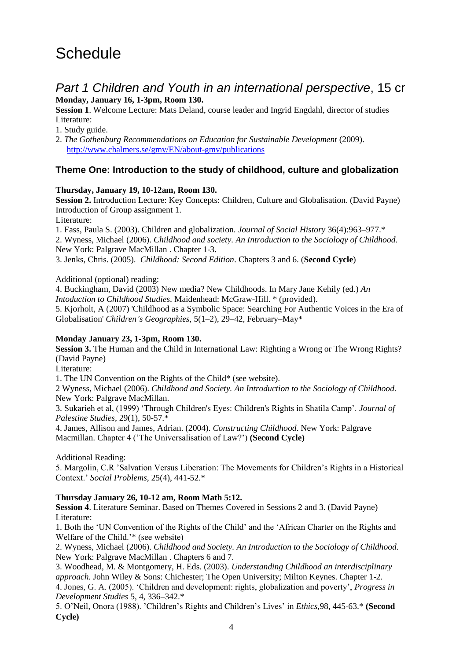## **Schedule**

## *Part 1 Children and Youth in an international perspective*, 15 cr **Monday, January 16, 1-3pm, Room 130.**

**Session 1**. Welcome Lecture: Mats Deland, course leader and Ingrid Engdahl, director of studies Literature:

1. Study guide.

2. *The Gothenburg Recommendations on Education for Sustainable Development* (2009). <http://www.chalmers.se/gmv/EN/about-gmv/publications>

## **Theme One: Introduction to the study of childhood, culture and globalization**

### **Thursday, January 19, 10-12am, Room 130.**

**Session 2.** Introduction Lecture: Key Concepts: Children, Culture and Globalisation. (David Payne) Introduction of Group assignment 1.

Literature:

1. Fass, Paula S. (2003). Children and globalization. *Journal of Social History* 36(4):963–977.\*

2. Wyness, Michael (2006). *Childhood and society. An Introduction to the Sociology of Childhood.*  New York: Palgrave MacMillan . Chapter 1-3.

3. Jenks, Chris. (2005). *Childhood: Second Edition*. Chapters 3 and 6. (**Second Cycle**)

Additional (optional) reading:

4. Buckingham, David (2003) New media? New Childhoods. In Mary Jane Kehily (ed.) *An Intoduction to Childhood Studies*. Maidenhead: McGraw-Hill. \* (provided).

5. Kjorholt, A (2007) 'Childhood as a Symbolic Space: Searching For Authentic Voices in the Era of Globalisation' *Children's Geographies*, 5(1–2), 29–42, February–May\*

## **Monday January 23, 1-3pm, Room 130.**

**Session 3.** The Human and the Child in International Law: Righting a Wrong or The Wrong Rights? (David Payne)

Literature:

1. The UN Convention on the Rights of the Child\* (see website).

2 Wyness, Michael (2006). *Childhood and Society. An Introduction to the Sociology of Childhood.*  New York: Palgrave MacMillan.

3. Sukarieh et al, (1999) "Through Children's Eyes: Children's Rights in Shatila Camp". *Journal of Palestine Studies,* 29(1), 50-57.\*

4. James, Allison and James, Adrian. (2004). *Constructing Childhood*. New York: Palgrave Macmillan. Chapter 4 ("The Universalisation of Law?") **(Second Cycle)**

Additional Reading:

5. Margolin, C.R "Salvation Versus Liberation: The Movements for Children"s Rights in a Historical Context." *Social Problems*, 25(4), 441-52.\*

## **Thursday January 26, 10-12 am, Room Math 5:12.**

**Session 4**. Literature Seminar. Based on Themes Covered in Sessions 2 and 3. (David Payne) Literature:

1. Both the "UN Convention of the Rights of the Child" and the "African Charter on the Rights and Welfare of the Child."\* (see website)

2. Wyness, Michael (2006). *Childhood and Society. An Introduction to the Sociology of Childhood.*  New York: Palgrave MacMillan . Chapters 6 and 7.

3. Woodhead, M. & Montgomery, H. Eds. (2003). *Understanding Childhood an interdisciplinary approach.* John Wiley & Sons: Chichester; The Open University; Milton Keynes. Chapter 1-2. 4. Jones, G. A. (2005). "Children and development: rights, globalization and poverty", *Progress in Development Studies* 5, 4, 336–342.\*

5. O"Neil, Onora (1988). "Children"s Rights and Children"s Lives" in *Ethics*,98, 445-63.\* **(Second Cycle)**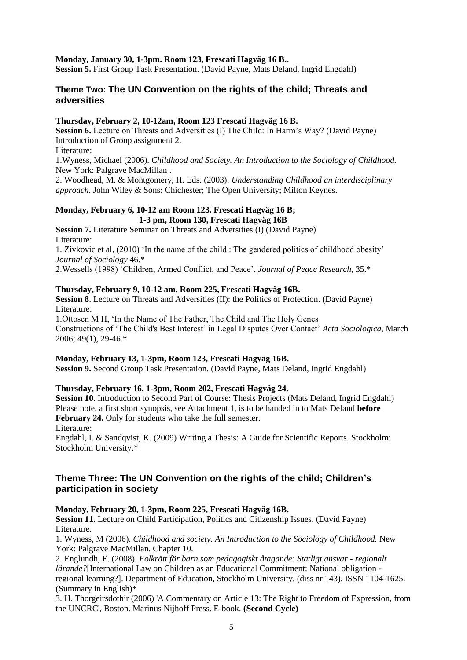#### **Monday, January 30, 1-3pm. Room 123, Frescati Hagväg 16 B..**

**Session 5.** First Group Task Presentation. (David Payne, Mats Deland, Ingrid Engdahl)

## **Theme Two: The UN Convention on the rights of the child; Threats and adversities**

#### **Thursday, February 2, 10-12am, Room 123 Frescati Hagväg 16 B.**

**Session 6.** Lecture on Threats and Adversities (I) The Child: In Harm's Way? (David Payne) Introduction of Group assignment 2.

Literature:

1.Wyness, Michael (2006). *Childhood and Society. An Introduction to the Sociology of Childhood.*  New York: Palgrave MacMillan .

2. Woodhead, M. & Montgomery, H. Eds. (2003). *Understanding Childhood an interdisciplinary approach.* John Wiley & Sons: Chichester; The Open University; Milton Keynes.

### **Monday, February 6, 10-12 am Room 123, Frescati Hagväg 16 B; 1-3 pm, Room 130, Frescati Hagväg 16B**

**Session 7.** Literature Seminar on Threats and Adversities (I) (David Payne) Literature:

1. Zivkovic et al, (2010) "In the name of the child : The gendered politics of childhood obesity" *Journal of Sociology* 46.\*

2.Wessells (1998) "Children, Armed Conflict, and Peace", *Journal of Peace Research,* 35.\*

#### **Thursday, February 9, 10-12 am, Room 225, Frescati Hagväg 16B.**

**Session 8**. Lecture on Threats and Adversities (II): the Politics of Protection. (David Payne) Literature:

1.Ottosen M H, "In the Name of The Father, The Child and The Holy Genes Constructions of "The Child's Best Interest" in Legal Disputes Over Contact" *Acta Sociologica*, March 2006; 49(1), 29-46.\*

#### **Monday, February 13, 1-3pm, Room 123, Frescati Hagväg 16B.**

**Session 9.** Second Group Task Presentation. (David Payne, Mats Deland, Ingrid Engdahl)

#### **Thursday, February 16, 1-3pm, Room 202, Frescati Hagväg 24.**

**Session 10**. Introduction to Second Part of Course: Thesis Projects (Mats Deland, Ingrid Engdahl) Please note, a first short synopsis, see Attachment 1, is to be handed in to Mats Deland **before February 24.** Only for students who take the full semester.

Literature:

Engdahl, I. & Sandqvist, K. (2009) Writing a Thesis: A Guide for Scientific Reports. Stockholm: Stockholm University.\*

## **Theme Three: The UN Convention on the rights of the child; Children's participation in society**

#### **Monday, February 20, 1-3pm, Room 225, Frescati Hagväg 16B.**

**Session 11.** Lecture on Child Participation, Politics and Citizenship Issues. (David Payne) Literature.

1. Wyness, M (2006). *Childhood and society. An Introduction to the Sociology of Childhood.* New York: Palgrave MacMillan. Chapter 10.

2. Englundh, E. (2008). *Folkrätt för barn som pedagogiskt åtagande: Statligt ansvar - regionalt lärande?*[International Law on Children as an Educational Commitment: National obligation regional learning?]. Department of Education, Stockholm University. (diss nr 143). ISSN 1104-1625. (Summary in English)\*

3. H. Thorgeirsdothir (2006) 'A Commentary on Article 13: The Right to Freedom of Expression, from the UNCRC', Boston. Marinus Nijhoff Press. E-book. **(Second Cycle)**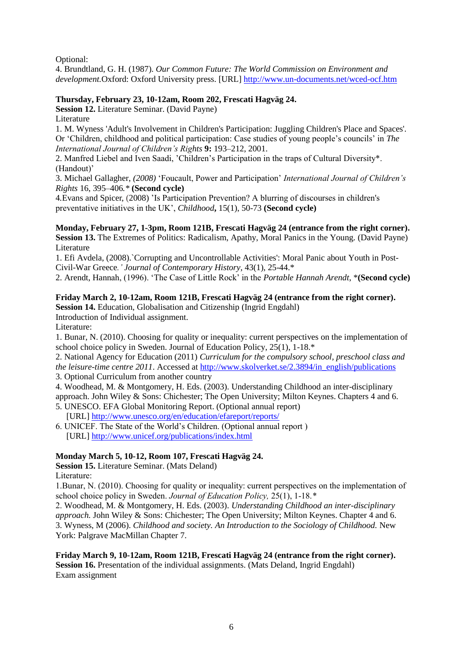Optional:

4. Brundtland, G. H. (1987). *Our Common Future: The World Commission on Environment and development.*Oxford: Oxford University press. [URL] <http://www.un-documents.net/wced-ocf.htm>

## **Thursday, February 23, 10-12am, Room 202, Frescati Hagväg 24.**

**Session 12.** Literature Seminar. (David Payne)

Literature

1. M. Wyness 'Adult's Involvement in Children's Participation: Juggling Children's Place and Spaces'. Or "Children, childhood and political participation: Case studies of young people"s councils" in *The International Journal of Children's Rights* **9:** 193–212, 2001.

2. Manfred Liebel and Iven Saadi, "Children"s Participation in the traps of Cultural Diversity\*. (Handout)'

3. Michael Gallagher, *(2008)* "Foucault, Power and Participation" *International Journal of Children's Rights* 16, 395–406*.\** **(Second cycle)**

4*.*Evans and Spicer, (2008) "Is Participation Prevention? A blurring of discourses in children's preventative initiatives in the UK", *Childhood***,** 15(1), 50-73 **(Second cycle)**

**Monday, February 27, 1-3pm, Room 121B, Frescati Hagväg 24 (entrance from the right corner). Session 13.** The Extremes of Politics: Radicalism, Apathy, Moral Panics in the Young. (David Payne) Literature

1. Efi Avdela, (2008).`Corrupting and Uncontrollable Activities': Moral Panic about Youth in Post-Civil-War Greece*.' Journal of Contemporary History,* 43(1), 25-44.\*

2. Arendt, Hannah, (1996). "The Case of Little Rock" in the *Portable Hannah Arendt*, \***(Second cycle)**

### **Friday March 2, 10-12am, Room 121B, Frescati Hagväg 24 (entrance from the right corner).**

**Session 14.** Education, Globalisation and Citizenship (Ingrid Engdahl)

Introduction of Individual assignment.

Literature:

1. Bunar, N. (2010). Choosing for quality or inequality: current perspectives on the implementation of school choice policy in Sweden. Journal of Education Policy, 25(1), 1-18.\*

2. National Agency for Education (2011) *Curriculum for the compulsory school, preschool class and the leisure-time centre 2011*. Accessed at [http://www.skolverket.se/2.3894/in\\_english/publications](http://www.skolverket.se/2.3894/in_english/publications)

3. Optional Curriculum from another country

4. Woodhead, M. & Montgomery, H. Eds. (2003). Understanding Childhood an inter-disciplinary

approach. John Wiley & Sons: Chichester; The Open University; Milton Keynes. Chapters 4 and 6. 5. UNESCO. EFA Global Monitoring Report. (Optional annual report)

[URL] <http://www.unesco.org/en/education/efareport/reports/>

6. UNICEF. The State of the World"s Children. (Optional annual report ) [URL[\] http://www.unicef.org/publications/index.html](http://www.unicef.org/publications/index.html)

#### **Monday March 5, 10-12, Room 107, Frescati Hagväg 24.**

**Session 15.** Literature Seminar. (Mats Deland)

Literature:

1.Bunar, N. (2010). Choosing for quality or inequality: current perspectives on the implementation of school choice policy in Sweden. *Journal of Education Policy,* 25(1), 1-18.*\**

2. Woodhead, M. & Montgomery, H. Eds. (2003). *Understanding Childhood an inter-disciplinary approach.* John Wiley & Sons: Chichester; The Open University; Milton Keynes. Chapter 4 and 6. 3. Wyness, M (2006). *Childhood and society. An Introduction to the Sociology of Childhood.* New York: Palgrave MacMillan Chapter 7.

#### **Friday March 9, 10-12am, Room 121B, Frescati Hagväg 24 (entrance from the right corner). Session 16.** Presentation of the individual assignments. (Mats Deland, Ingrid Engdahl) Exam assignment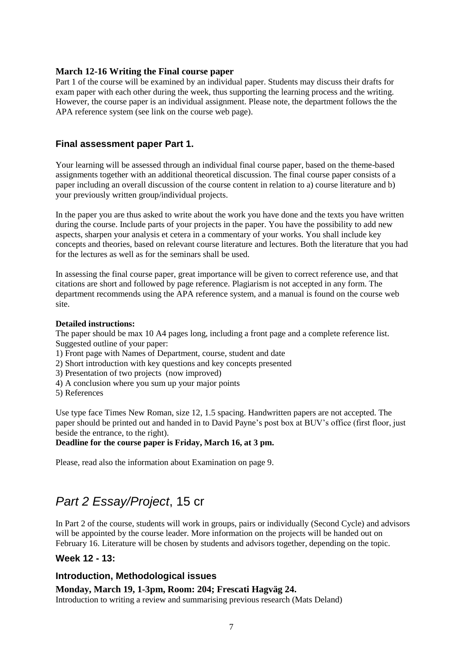## **March 12-16 Writing the Final course paper**

Part 1 of the course will be examined by an individual paper. Students may discuss their drafts for exam paper with each other during the week, thus supporting the learning process and the writing. However, the course paper is an individual assignment. Please note, the department follows the the APA reference system (see link on the course web page).

## **Final assessment paper Part 1.**

Your learning will be assessed through an individual final course paper, based on the theme-based assignments together with an additional theoretical discussion. The final course paper consists of a paper including an overall discussion of the course content in relation to a) course literature and b) your previously written group/individual projects.

In the paper you are thus asked to write about the work you have done and the texts you have written during the course. Include parts of your projects in the paper. You have the possibility to add new aspects, sharpen your analysis et cetera in a commentary of your works. You shall include key concepts and theories, based on relevant course literature and lectures. Both the literature that you had for the lectures as well as for the seminars shall be used.

In assessing the final course paper, great importance will be given to correct reference use, and that citations are short and followed by page reference. Plagiarism is not accepted in any form. The department recommends using the APA reference system, and a manual is found on the course web site.

#### **Detailed instructions:**

The paper should be max 10 A4 pages long, including a front page and a complete reference list. Suggested outline of your paper:

- 1) Front page with Names of Department, course, student and date
- 2) Short introduction with key questions and key concepts presented
- 3) Presentation of two projects (now improved)
- 4) A conclusion where you sum up your major points
- 5) References

Use type face Times New Roman, size 12, 1.5 spacing. Handwritten papers are not accepted. The paper should be printed out and handed in to David Payne"s post box at BUV"s office (first floor, just beside the entrance, to the right).

### **Deadline for the course paper is Friday, March 16, at 3 pm.**

Please, read also the information about Examination on page 9.

## *Part 2 Essay/Project*, 15 cr

In Part 2 of the course, students will work in groups, pairs or individually (Second Cycle) and advisors will be appointed by the course leader. More information on the projects will be handed out on February 16. Literature will be chosen by students and advisors together, depending on the topic.

## **Week 12 - 13:**

## **Introduction, Methodological issues**

## **Monday, March 19, 1-3pm, Room: 204; Frescati Hagväg 24.**

Introduction to writing a review and summarising previous research (Mats Deland)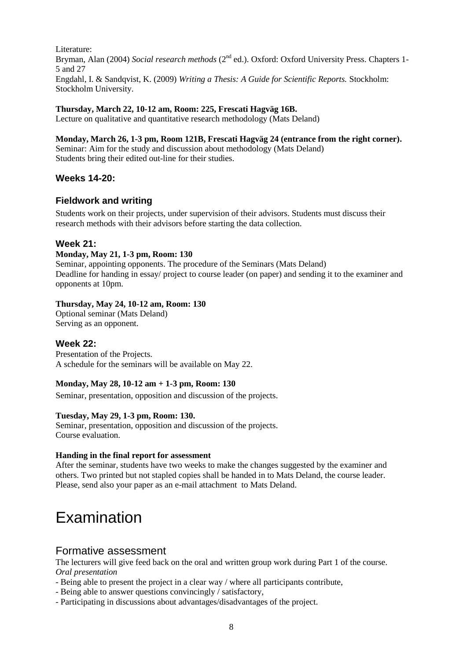Literature: Bryman, Alan (2004) *Social research methods* (2<sup>nd</sup> ed.). Oxford: Oxford University Press. Chapters 1-5 and 27 Engdahl, I. & Sandqvist, K. (2009) *Writing a Thesis: A Guide for Scientific Reports.* Stockholm: Stockholm University.

## **Thursday, March 22, 10-12 am, Room: 225, Frescati Hagväg 16B.**

Lecture on qualitative and quantitative research methodology (Mats Deland)

#### **Monday, March 26, 1-3 pm, Room 121B, Frescati Hagväg 24 (entrance from the right corner).** Seminar: Aim for the study and discussion about methodology (Mats Deland) Students bring their edited out-line for their studies.

## **Weeks 14-20:**

## **Fieldwork and writing**

Students work on their projects, under supervision of their advisors. Students must discuss their research methods with their advisors before starting the data collection.

## **Week 21:**

### **Monday, May 21, 1-3 pm, Room: 130**

Seminar, appointing opponents. The procedure of the Seminars (Mats Deland) Deadline for handing in essay/ project to course leader (on paper) and sending it to the examiner and opponents at 10pm.

### **Thursday, May 24, 10-12 am, Room: 130**

Optional seminar (Mats Deland) Serving as an opponent.

## **Week 22:**

Presentation of the Projects. A schedule for the seminars will be available on May 22.

## **Monday, May 28, 10-12 am + 1-3 pm, Room: 130**

Seminar, presentation, opposition and discussion of the projects.

## **Tuesday, May 29, 1-3 pm, Room: 130.**

Seminar, presentation, opposition and discussion of the projects. Course evaluation.

#### **Handing in the final report for assessment**

After the seminar, students have two weeks to make the changes suggested by the examiner and others. Two printed but not stapled copies shall be handed in to Mats Deland, the course leader. Please, send also your paper as an e-mail attachment to Mats Deland.

## Examination

## Formative assessment

The lecturers will give feed back on the oral and written group work during Part 1 of the course. *Oral presentation*

- Being able to present the project in a clear way / where all participants contribute,
- Being able to answer questions convincingly / satisfactory,
- Participating in discussions about advantages/disadvantages of the project.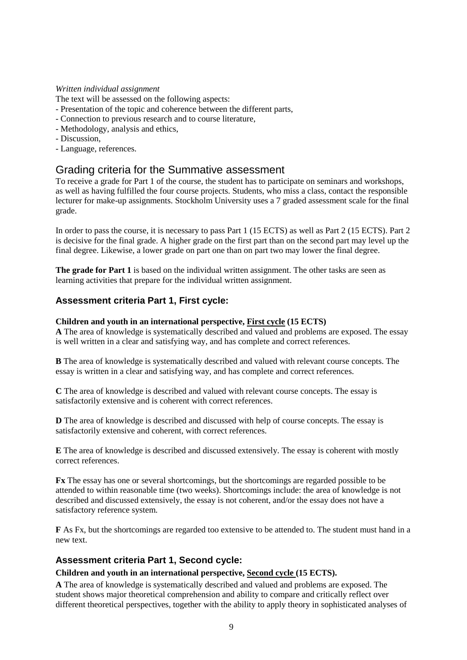#### *Written individual assignment*

The text will be assessed on the following aspects:

- Presentation of the topic and coherence between the different parts,
- Connection to previous research and to course literature,
- Methodology, analysis and ethics,
- Discussion,
- Language, references.

## Grading criteria for the Summative assessment

To receive a grade for Part 1 of the course, the student has to participate on seminars and workshops, as well as having fulfilled the four course projects. Students, who miss a class, contact the responsible lecturer for make-up assignments. Stockholm University uses a 7 graded assessment scale for the final grade.

In order to pass the course, it is necessary to pass Part 1 (15 ECTS) as well as Part 2 (15 ECTS). Part 2 is decisive for the final grade. A higher grade on the first part than on the second part may level up the final degree. Likewise, a lower grade on part one than on part two may lower the final degree.

**The grade for Part 1** is based on the individual written assignment. The other tasks are seen as learning activities that prepare for the individual written assignment.

## **Assessment criteria Part 1, First cycle:**

### **Children and youth in an international perspective, First cycle (15 ECTS)**

**A** The area of knowledge is systematically described and valued and problems are exposed. The essay is well written in a clear and satisfying way, and has complete and correct references.

**B** The area of knowledge is systematically described and valued with relevant course concepts. The essay is written in a clear and satisfying way, and has complete and correct references.

**C** The area of knowledge is described and valued with relevant course concepts. The essay is satisfactorily extensive and is coherent with correct references.

**D** The area of knowledge is described and discussed with help of course concepts. The essay is satisfactorily extensive and coherent, with correct references.

**E** The area of knowledge is described and discussed extensively. The essay is coherent with mostly correct references.

**Fx** The essay has one or several shortcomings, but the shortcomings are regarded possible to be attended to within reasonable time (two weeks). Shortcomings include: the area of knowledge is not described and discussed extensively, the essay is not coherent, and/or the essay does not have a satisfactory reference system.

**F** As Fx, but the shortcomings are regarded too extensive to be attended to. The student must hand in a new text.

## **Assessment criteria Part 1, Second cycle:**

### **Children and youth in an international perspective, Second cycle (15 ECTS).**

**A** The area of knowledge is systematically described and valued and problems are exposed. The student shows major theoretical comprehension and ability to compare and critically reflect over different theoretical perspectives, together with the ability to apply theory in sophisticated analyses of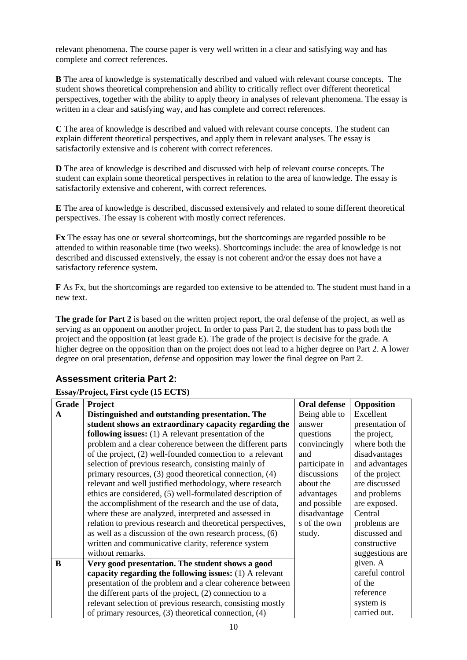relevant phenomena. The course paper is very well written in a clear and satisfying way and has complete and correct references.

**B** The area of knowledge is systematically described and valued with relevant course concepts. The student shows theoretical comprehension and ability to critically reflect over different theoretical perspectives, together with the ability to apply theory in analyses of relevant phenomena. The essay is written in a clear and satisfying way, and has complete and correct references.

**C** The area of knowledge is described and valued with relevant course concepts. The student can explain different theoretical perspectives, and apply them in relevant analyses. The essay is satisfactorily extensive and is coherent with correct references.

**D** The area of knowledge is described and discussed with help of relevant course concepts. The student can explain some theoretical perspectives in relation to the area of knowledge. The essay is satisfactorily extensive and coherent, with correct references.

**E** The area of knowledge is described, discussed extensively and related to some different theoretical perspectives. The essay is coherent with mostly correct references.

**Fx** The essay has one or several shortcomings, but the shortcomings are regarded possible to be attended to within reasonable time (two weeks). Shortcomings include: the area of knowledge is not described and discussed extensively, the essay is not coherent and/or the essay does not have a satisfactory reference system.

**F** As Fx, but the shortcomings are regarded too extensive to be attended to. The student must hand in a new text.

**The grade for Part 2** is based on the written project report, the oral defense of the project, as well as serving as an opponent on another project. In order to pass Part 2, the student has to pass both the project and the opposition (at least grade E). The grade of the project is decisive for the grade. A higher degree on the opposition than on the project does not lead to a higher degree on Part 2. A lower degree on oral presentation, defense and opposition may lower the final degree on Part 2.

## **Assessment criteria Part 2:**

## **Essay/Project, First cycle (15 ECTS)**

| Grade | Project                                                       | Oral defense   | Opposition      |
|-------|---------------------------------------------------------------|----------------|-----------------|
| A     | Distinguished and outstanding presentation. The               | Being able to  | Excellent       |
|       | student shows an extraordinary capacity regarding the         | answer         | presentation of |
|       | <b>following issues:</b> $(1)$ A relevant presentation of the | questions      | the project,    |
|       | problem and a clear coherence between the different parts     | convincingly   | where both the  |
|       | of the project, (2) well-founded connection to a relevant     | and            | disadvantages   |
|       | selection of previous research, consisting mainly of          | participate in | and advantages  |
|       | primary resources, (3) good theoretical connection, (4)       | discussions    | of the project  |
|       | relevant and well justified methodology, where research       | about the      | are discussed   |
|       | ethics are considered, (5) well-formulated description of     | advantages     | and problems    |
|       | the accomplishment of the research and the use of data,       | and possible   | are exposed.    |
|       | where these are analyzed, interpreted and assessed in         | disadvantage   | Central         |
|       | relation to previous research and theoretical perspectives,   | s of the own   | problems are    |
|       | as well as a discussion of the own research process, (6)      | study.         | discussed and   |
|       | written and communicative clarity, reference system           |                | constructive    |
|       | without remarks.                                              |                | suggestions are |
| B     | Very good presentation. The student shows a good              |                | given. A        |
|       | capacity regarding the following issues: $(1)$ A relevant     |                | careful control |
|       | presentation of the problem and a clear coherence between     |                | of the          |
|       | the different parts of the project, $(2)$ connection to a     |                | reference       |
|       | relevant selection of previous research, consisting mostly    |                | system is       |
|       | of primary resources, $(3)$ theoretical connection, $(4)$     |                | carried out.    |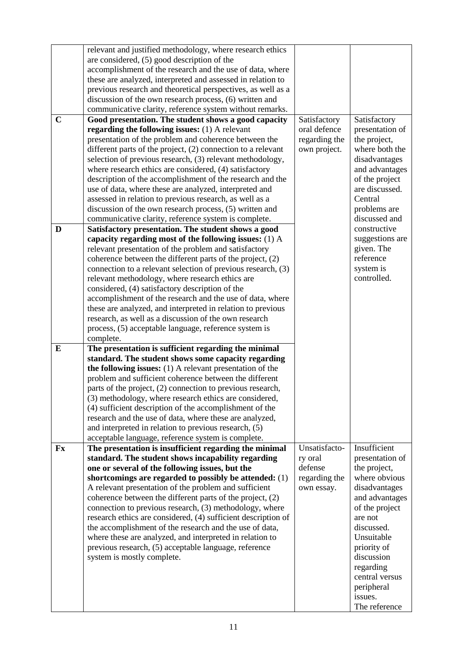|             | relevant and justified methodology, where research ethics      |               |                          |
|-------------|----------------------------------------------------------------|---------------|--------------------------|
|             | are considered, (5) good description of the                    |               |                          |
|             | accomplishment of the research and the use of data, where      |               |                          |
|             | these are analyzed, interpreted and assessed in relation to    |               |                          |
|             | previous research and theoretical perspectives, as well as a   |               |                          |
|             | discussion of the own research process, (6) written and        |               |                          |
|             | communicative clarity, reference system without remarks.       |               |                          |
| $\mathbf C$ | Good presentation. The student shows a good capacity           | Satisfactory  | Satisfactory             |
|             | regarding the following issues: (1) A relevant                 | oral defence  | presentation of          |
|             | presentation of the problem and coherence between the          | regarding the | the project,             |
|             | different parts of the project, $(2)$ connection to a relevant | own project.  | where both the           |
|             | selection of previous research, (3) relevant methodology,      |               | disadvantages            |
|             | where research ethics are considered, (4) satisfactory         |               | and advantages           |
|             | description of the accomplishment of the research and the      |               | of the project           |
|             | use of data, where these are analyzed, interpreted and         |               | are discussed.           |
|             | assessed in relation to previous research, as well as a        |               | Central                  |
|             | discussion of the own research process, (5) written and        |               | problems are             |
|             | communicative clarity, reference system is complete.           |               | discussed and            |
| D           | Satisfactory presentation. The student shows a good            |               | constructive             |
|             |                                                                |               |                          |
|             | capacity regarding most of the following issues: (1) A         |               | suggestions are          |
|             | relevant presentation of the problem and satisfactory          |               | given. The<br>reference  |
|             | coherence between the different parts of the project, (2)      |               |                          |
|             | connection to a relevant selection of previous research, (3)   |               | system is                |
|             | relevant methodology, where research ethics are                |               | controlled.              |
|             | considered, (4) satisfactory description of the                |               |                          |
|             | accomplishment of the research and the use of data, where      |               |                          |
|             | these are analyzed, and interpreted in relation to previous    |               |                          |
|             | research, as well as a discussion of the own research          |               |                          |
|             | process, (5) acceptable language, reference system is          |               |                          |
|             | complete.                                                      |               |                          |
| ${\bf E}$   | The presentation is sufficient regarding the minimal           |               |                          |
|             | standard. The student shows some capacity regarding            |               |                          |
|             | the following issues: $(1)$ A relevant presentation of the     |               |                          |
|             | problem and sufficient coherence between the different         |               |                          |
|             | parts of the project, (2) connection to previous research,     |               |                          |
|             | (3) methodology, where research ethics are considered,         |               |                          |
|             |                                                                |               |                          |
|             |                                                                |               |                          |
|             | (4) sufficient description of the accomplishment of the        |               |                          |
|             | research and the use of data, where these are analyzed,        |               |                          |
|             | and interpreted in relation to previous research, (5)          |               |                          |
|             | acceptable language, reference system is complete.             |               |                          |
| Fx          | The presentation is insufficient regarding the minimal         | Unsatisfacto- | Insufficient             |
|             | standard. The student shows incapability regarding             | ry oral       | presentation of          |
|             | one or several of the following issues, but the                | defense       | the project,             |
|             | shortcomings are regarded to possibly be attended: $(1)$       | regarding the | where obvious            |
|             | A relevant presentation of the problem and sufficient          | own essay.    | disadvantages            |
|             | coherence between the different parts of the project, (2)      |               | and advantages           |
|             | connection to previous research, (3) methodology, where        |               | of the project           |
|             | research ethics are considered, (4) sufficient description of  |               | are not                  |
|             | the accomplishment of the research and the use of data,        |               | discussed.               |
|             | where these are analyzed, and interpreted in relation to       |               | Unsuitable               |
|             | previous research, (5) acceptable language, reference          |               | priority of              |
|             | system is mostly complete.                                     |               | discussion               |
|             |                                                                |               | regarding                |
|             |                                                                |               | central versus           |
|             |                                                                |               | peripheral               |
|             |                                                                |               | issues.<br>The reference |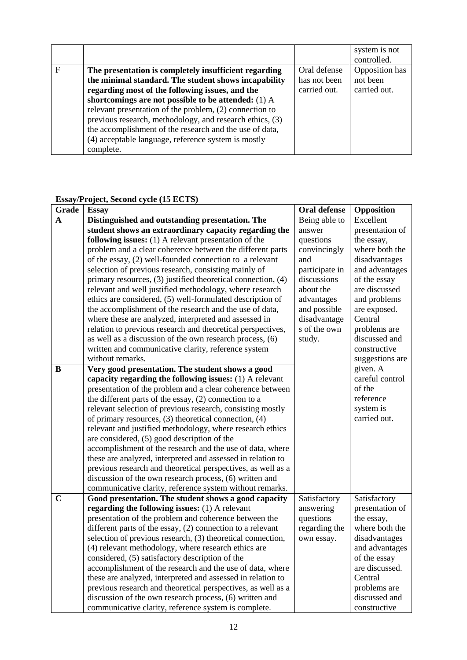|             |                                                          |              | system is not<br>controlled. |
|-------------|----------------------------------------------------------|--------------|------------------------------|
| $\mathbf F$ | The presentation is completely insufficient regarding    | Oral defense | Opposition has               |
|             | the minimal standard. The student shows incapability     | has not been | not been                     |
|             | regarding most of the following issues, and the          | carried out. | carried out.                 |
|             | shortcomings are not possible to be attended: (1) A      |              |                              |
|             | relevant presentation of the problem, (2) connection to  |              |                              |
|             | previous research, methodology, and research ethics, (3) |              |                              |
|             | the accomplishment of the research and the use of data,  |              |                              |
|             | (4) acceptable language, reference system is mostly      |              |                              |
|             | complete.                                                |              |                              |

## **Essay/Project, Second cycle (15 ECTS)**

| <b>Grade</b> | <b>Essay</b>                                                 | <b>Oral defense</b> | Opposition      |
|--------------|--------------------------------------------------------------|---------------------|-----------------|
| A            | Distinguished and outstanding presentation. The              | Being able to       | Excellent       |
|              | student shows an extraordinary capacity regarding the        | answer              | presentation of |
|              | following issues: $(1)$ A relevant presentation of the       | questions           | the essay,      |
|              | problem and a clear coherence between the different parts    | convincingly        | where both the  |
|              | of the essay, (2) well-founded connection to a relevant      | and                 | disadvantages   |
|              | selection of previous research, consisting mainly of         | participate in      | and advantages  |
|              | primary resources, (3) justified theoretical connection, (4) | discussions         | of the essay    |
|              | relevant and well justified methodology, where research      | about the           | are discussed   |
|              | ethics are considered, (5) well-formulated description of    | advantages          | and problems    |
|              | the accomplishment of the research and the use of data,      | and possible        | are exposed.    |
|              | where these are analyzed, interpreted and assessed in        | disadvantage        | Central         |
|              | relation to previous research and theoretical perspectives,  | s of the own        | problems are    |
|              | as well as a discussion of the own research process, (6)     | study.              | discussed and   |
|              | written and communicative clarity, reference system          |                     | constructive    |
|              | without remarks.                                             |                     | suggestions are |
| B            | Very good presentation. The student shows a good             |                     | given. A        |
|              | capacity regarding the following issues: $(1)$ A relevant    |                     | careful control |
|              | presentation of the problem and a clear coherence between    |                     | of the          |
|              | the different parts of the essay, (2) connection to a        |                     | reference       |
|              | relevant selection of previous research, consisting mostly   |                     | system is       |
|              | of primary resources, (3) theoretical connection, (4)        |                     | carried out.    |
|              | relevant and justified methodology, where research ethics    |                     |                 |
|              | are considered, (5) good description of the                  |                     |                 |
|              | accomplishment of the research and the use of data, where    |                     |                 |
|              | these are analyzed, interpreted and assessed in relation to  |                     |                 |
|              | previous research and theoretical perspectives, as well as a |                     |                 |
|              | discussion of the own research process, (6) written and      |                     |                 |
|              | communicative clarity, reference system without remarks.     |                     |                 |
| $\mathbf C$  | Good presentation. The student shows a good capacity         | Satisfactory        | Satisfactory    |
|              | regarding the following issues: (1) A relevant               | answering           | presentation of |
|              | presentation of the problem and coherence between the        | questions           | the essay,      |
|              | different parts of the essay, (2) connection to a relevant   | regarding the       | where both the  |
|              | selection of previous research, (3) theoretical connection,  | own essay.          | disadvantages   |
|              | (4) relevant methodology, where research ethics are          |                     | and advantages  |
|              | considered, (5) satisfactory description of the              |                     | of the essay    |
|              | accomplishment of the research and the use of data, where    |                     | are discussed.  |
|              | these are analyzed, interpreted and assessed in relation to  |                     | Central         |
|              | previous research and theoretical perspectives, as well as a |                     | problems are    |
|              | discussion of the own research process, (6) written and      |                     | discussed and   |
|              | communicative clarity, reference system is complete.         |                     | constructive    |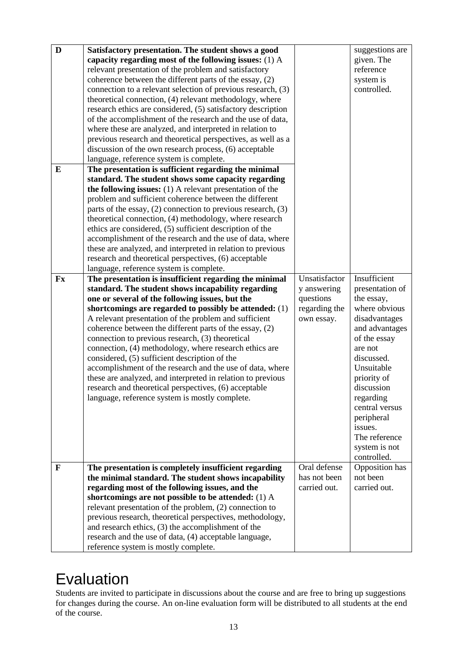| D            | Satisfactory presentation. The student shows a good<br>capacity regarding most of the following issues: $(1)$ A         |               | suggestions are<br>given. The |
|--------------|-------------------------------------------------------------------------------------------------------------------------|---------------|-------------------------------|
|              | relevant presentation of the problem and satisfactory                                                                   |               | reference                     |
|              | coherence between the different parts of the essay, (2)                                                                 |               | system is                     |
|              | connection to a relevant selection of previous research, (3)<br>theoretical connection, (4) relevant methodology, where |               | controlled.                   |
|              | research ethics are considered, (5) satisfactory description                                                            |               |                               |
|              | of the accomplishment of the research and the use of data,                                                              |               |                               |
|              | where these are analyzed, and interpreted in relation to                                                                |               |                               |
|              | previous research and theoretical perspectives, as well as a                                                            |               |                               |
|              | discussion of the own research process, (6) acceptable                                                                  |               |                               |
|              | language, reference system is complete.                                                                                 |               |                               |
| ${\bf E}$    | The presentation is sufficient regarding the minimal                                                                    |               |                               |
|              | standard. The student shows some capacity regarding                                                                     |               |                               |
|              | the following issues: $(1)$ A relevant presentation of the                                                              |               |                               |
|              | problem and sufficient coherence between the different                                                                  |               |                               |
|              | parts of the essay, $(2)$ connection to previous research, $(3)$                                                        |               |                               |
|              | theoretical connection, (4) methodology, where research                                                                 |               |                               |
|              | ethics are considered, (5) sufficient description of the                                                                |               |                               |
|              | accomplishment of the research and the use of data, where                                                               |               |                               |
|              | these are analyzed, and interpreted in relation to previous                                                             |               |                               |
|              | research and theoretical perspectives, (6) acceptable                                                                   |               |                               |
| Fx           | language, reference system is complete.<br>The presentation is insufficient regarding the minimal                       | Unsatisfactor | Insufficient                  |
|              | standard. The student shows incapability regarding                                                                      | y answering   | presentation of               |
|              | one or several of the following issues, but the                                                                         | questions     | the essay,                    |
|              | shortcomings are regarded to possibly be attended: (1)                                                                  | regarding the | where obvious                 |
|              | A relevant presentation of the problem and sufficient                                                                   | own essay.    | disadvantages                 |
|              | coherence between the different parts of the essay, (2)                                                                 |               | and advantages                |
|              | connection to previous research, (3) theoretical                                                                        |               | of the essay                  |
|              | connection, (4) methodology, where research ethics are                                                                  |               | are not                       |
|              | considered, (5) sufficient description of the                                                                           |               | discussed.                    |
|              | accomplishment of the research and the use of data, where                                                               |               | Unsuitable                    |
|              | these are analyzed, and interpreted in relation to previous                                                             |               | priority of                   |
|              | research and theoretical perspectives, (6) acceptable                                                                   |               | discussion                    |
|              | language, reference system is mostly complete.                                                                          |               | regarding                     |
|              |                                                                                                                         |               | central versus<br>peripheral  |
|              |                                                                                                                         |               | issues.                       |
|              |                                                                                                                         |               | The reference                 |
|              |                                                                                                                         |               | system is not                 |
|              |                                                                                                                         |               | controlled.                   |
| $\mathbf{F}$ | The presentation is completely insufficient regarding                                                                   | Oral defense  | Opposition has                |
|              | the minimal standard. The student shows incapability                                                                    | has not been  | not been                      |
|              | regarding most of the following issues, and the                                                                         | carried out.  | carried out.                  |
|              | shortcomings are not possible to be attended: (1) A                                                                     |               |                               |
|              | relevant presentation of the problem, (2) connection to                                                                 |               |                               |
|              |                                                                                                                         |               |                               |
|              | previous research, theoretical perspectives, methodology,                                                               |               |                               |
|              | and research ethics, (3) the accomplishment of the                                                                      |               |                               |
|              | research and the use of data, (4) acceptable language,<br>reference system is mostly complete.                          |               |                               |

## Evaluation

Students are invited to participate in discussions about the course and are free to bring up suggestions for changes during the course. An on-line evaluation form will be distributed to all students at the end of the course.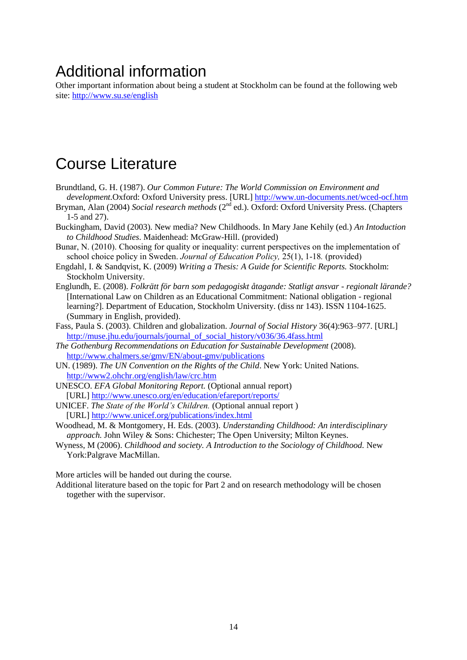## Additional information

Other important information about being a student at Stockholm can be found at the following web site:<http://www.su.se/english>

## Course Literature

- Brundtland, G. H. (1987). *Our Common Future: The World Commission on Environment and development.*Oxford: Oxford University press. [URL] <http://www.un-documents.net/wced-ocf.htm>
- Bryman, Alan (2004) *Social research methods* (2<sup>nd</sup> ed.). Oxford: Oxford University Press. (Chapters 1-5 and 27).
- Buckingham, David (2003). New media? New Childhoods. In Mary Jane Kehily (ed.) *An Intoduction to Childhood Studies*. Maidenhead: McGraw-Hill. (provided)
- Bunar, N. (2010). Choosing for quality or inequality: current perspectives on the implementation of school choice policy in Sweden. *Journal of Education Policy,* 25(1), 1-18*.* (provided)
- Engdahl, I. & Sandqvist, K. (2009) *Writing a Thesis: A Guide for Scientific Reports.* Stockholm: Stockholm University.
- Englundh, E. (2008). *Folkrätt för barn som pedagogiskt åtagande: Statligt ansvar - regionalt lärande?*  [International Law on Children as an Educational Commitment: National obligation - regional learning?]. Department of Education, Stockholm University. (diss nr 143). ISSN 1104-1625. (Summary in English, provided).
- Fass, Paula S. (2003). Children and globalization. *Journal of Social History* 36(4):963–977. [URL] [http://muse.jhu.edu/journals/journal\\_of\\_social\\_history/v036/36.4fass.html](http://muse.jhu.edu/journals/journal_of_social_history/v036/36.4fass.html)
- *The Gothenburg Recommendations on Education for Sustainable Development* (2008). <http://www.chalmers.se/gmv/EN/about-gmv/publications>
- UN. (1989). *The UN Convention on the Rights of the Child*. New York: United Nations. <http://www2.ohchr.org/english/law/crc.htm>
- UNESCO. *EFA Global Monitoring Report.* (Optional annual report) [URL] <http://www.unesco.org/en/education/efareport/reports/>
- UNICEF. *The State of the World's Children.* (Optional annual report ) [URL[\] http://www.unicef.org/publications/index.html](http://www.unicef.org/publications/index.html)
- Woodhead, M. & Montgomery, H. Eds. (2003). *Understanding Childhood: An interdisciplinary approach.* John Wiley & Sons: Chichester; The Open University; Milton Keynes.
- Wyness, M (2006). *Childhood and society. A Introduction to the Sociology of Childhood.* New York:Palgrave MacMillan.

More articles will be handed out during the course.

Additional literature based on the topic for Part 2 and on research methodology will be chosen together with the supervisor.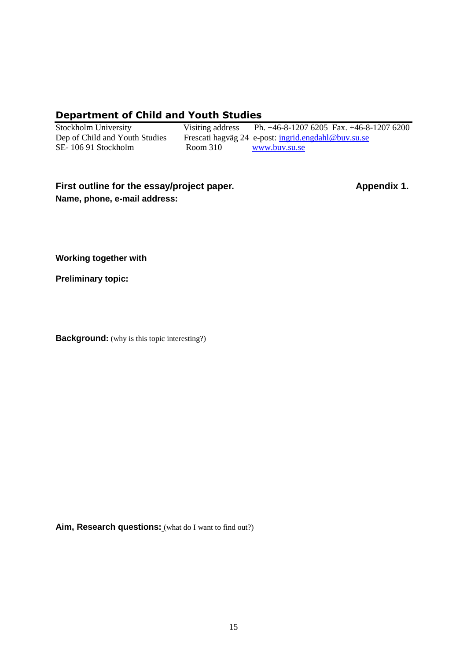## **Department of Child and Youth Studies**

SE- 106 91 Stockholm Room 310 [www.buv.su.se](http://www.buv.su.se/)

Stockholm University Visiting address Ph. +46-8-1207 6205 Fax. +46-8-1207 6200 Dep of Child and Youth Studies Frescati hagväg 24 e-post: [ingrid.engdahl@buv.su.se](mailto:ingrid.engdahl@buv.su.se)

## **First outline for the essay/project paper. Appendix 1. Name, phone, e-mail address:**

**Working together with**

**Preliminary topic:**

**Background:** (why is this topic interesting?)

**Aim, Research questions:** (what do I want to find out?)